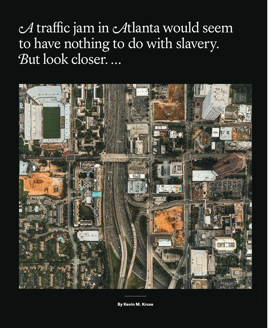A traffic jam in Atlanta would seem to have nothing to do with slavery. *B*ut look closer. ...